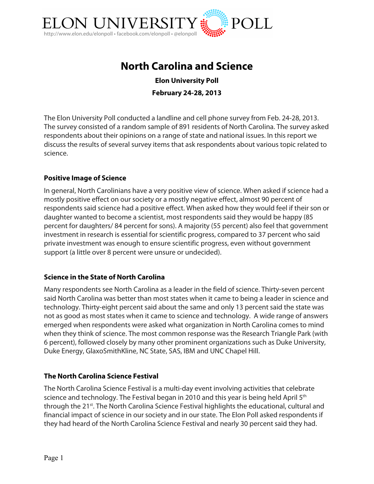

# **North Carolina and Science**

**Elon University Poll February 24-28, 2013**

The Elon University Poll conducted a landline and cell phone survey from Feb. 24-28, 2013. The survey consisted of a random sample of 891 residents of North Carolina. The survey asked respondents about their opinions on a range of state and national issues. In this report we discuss the results of several survey items that ask respondents about various topic related to science.

### **Positive Image of Science**

In general, North Carolinians have a very positive view of science. When asked if science had a mostly positive effect on our society or a mostly negative effect, almost 90 percent of respondents said science had a positive effect. When asked how they would feel if their son or daughter wanted to become a scientist, most respondents said they would be happy (85 percent for daughters/ 84 percent for sons). A majority (55 percent) also feel that government investment in research is essential for scientific progress, compared to 37 percent who said private investment was enough to ensure scientific progress, even without government support (a little over 8 percent were unsure or undecided).

#### **Science in the State of North Carolina**

Many respondents see North Carolina as a leader in the field of science. Thirty-seven percent said North Carolina was better than most states when it came to being a leader in science and technology. Thirty-eight percent said about the same and only 13 percent said the state was not as good as most states when it came to science and technology. A wide range of answers emerged when respondents were asked what organization in North Carolina comes to mind when they think of science. The most common response was the Research Triangle Park (with 6 percent), followed closely by many other prominent organizations such as Duke University, Duke Energy, GlaxoSmithKline, NC State, SAS, IBM and UNC Chapel Hill.

#### **The North Carolina Science Festival**

The North Carolina Science Festival is a multi-day event involving activities that celebrate science and technology. The Festival began in 2010 and this year is being held April  $5<sup>th</sup>$ through the 21<sup>st</sup>. The North Carolina Science Festival highlights the educational, cultural and financial impact of science in our society and in our state. The Elon Poll asked respondents if they had heard of the North Carolina Science Festival and nearly 30 percent said they had.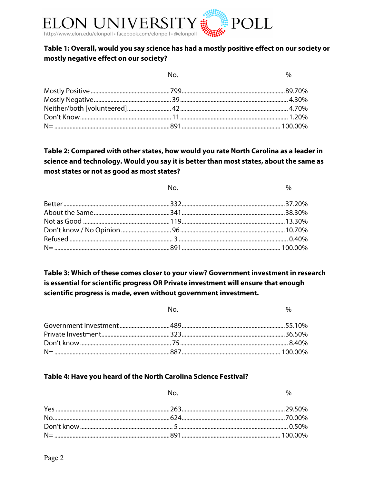

### Table 1: Overall, would you say science has had a mostly positive effect on our society or mostly negative effect on our society?

| No. | $\%$ |
|-----|------|
|     |      |
|     |      |
|     |      |
|     |      |
|     |      |

 $N<sub>0</sub>$ 

# Table 2: Compared with other states, how would you rate North Carolina as a leader in science and technology. Would you say it is better than most states, about the same as most states or not as good as most states?

| No. | $\%$ |
|-----|------|
|     |      |
|     |      |
|     |      |
|     |      |
|     |      |
|     |      |

# Table 3: Which of these comes closer to your view? Government investment in research is essential for scientific progress OR Private investment will ensure that enough scientific progress is made, even without government investment.

| No. | $\frac{1}{2}$ |
|-----|---------------|
|     |               |
|     |               |
|     |               |
|     |               |

### Table 4: Have you heard of the North Carolina Science Festival?

|  | $\%$ |
|--|------|
|  |      |
|  |      |
|  |      |
|  |      |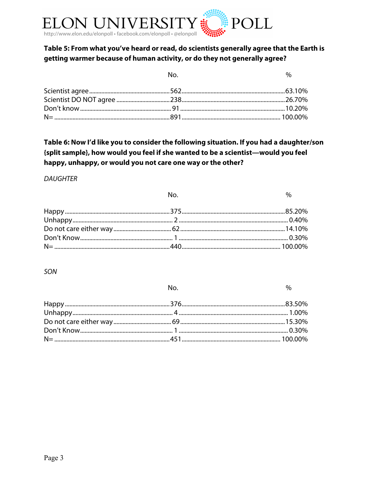

### Table 5: From what you've heard or read, do scientists generally agree that the Earth is getting warmer because of human activity, or do they not generally agree?

| No. | $\%$ |
|-----|------|
|     |      |
|     |      |
|     |      |
|     |      |

# Table 6: Now I'd like you to consider the following situation. If you had a daughter/son {split sample}, how would you feel if she wanted to be a scientist—would you feel happy, unhappy, or would you not care one way or the other?

#### **DAUGHTER**

| No. | $\%$ |
|-----|------|
|     |      |
|     |      |
|     |      |
|     |      |
|     |      |

#### SON

No.

 $\%$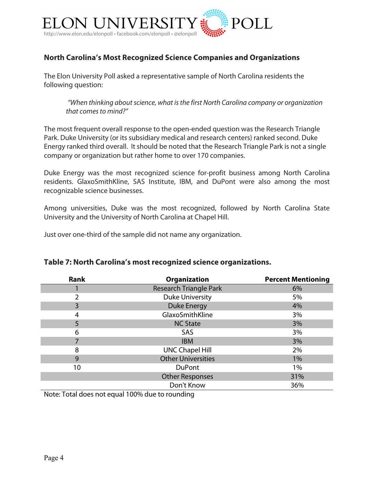

# **North Carolina's Most Recognized Science Companies and Organizations**

The Elon University Poll asked a representative sample of North Carolina residents the following question:

*"When thinking about science, what is the first North Carolina company or organization that comes to mind?"*

The most frequent overall response to the open-ended question was the Research Triangle Park. Duke University (or its subsidiary medical and research centers) ranked second. Duke Energy ranked third overall. It should be noted that the Research Triangle Park is not a single company or organization but rather home to over 170 companies.

Duke Energy was the most recognized science for-profit business among North Carolina residents. GlaxoSmithKline, SAS Institute, IBM, and DuPont were also among the most recognizable science businesses.

Among universities, Duke was the most recognized, followed by North Carolina State University and the University of North Carolina at Chapel Hill.

Just over one-third of the sample did not name any organization.

| <b>Rank</b> | <b>Organization</b>           | <b>Percent Mentioning</b> |
|-------------|-------------------------------|---------------------------|
|             | <b>Research Triangle Park</b> | 6%                        |
| フ           | <b>Duke University</b>        | 5%                        |
| 3           | <b>Duke Energy</b>            | 4%                        |
| 4           | GlaxoSmithKline               | 3%                        |
| 5           | <b>NC State</b>               | 3%                        |
| 6           | SAS                           | 3%                        |
|             | <b>IBM</b>                    | 3%                        |
| 8           | <b>UNC Chapel Hill</b>        | 2%                        |
| 9           | <b>Other Universities</b>     | $1\%$                     |
| 10          | <b>DuPont</b>                 | 1%                        |
|             | <b>Other Responses</b>        | 31%                       |
|             | Don't Know                    | 36%                       |

### **Table 7: North Carolina's most recognized science organizations.**

Note: Total does not equal 100% due to rounding